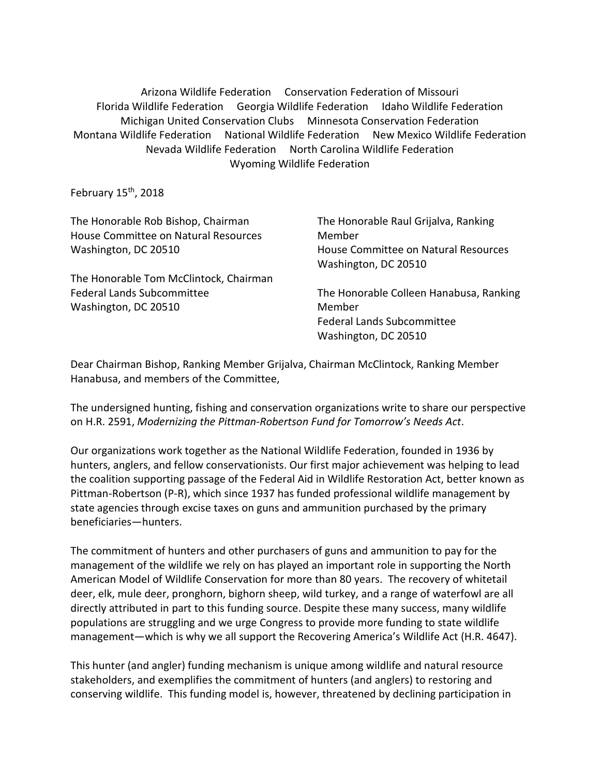Arizona Wildlife Federation Conservation Federation of Missouri Florida Wildlife Federation Georgia Wildlife Federation Idaho Wildlife Federation Michigan United Conservation Clubs Minnesota Conservation Federation Montana Wildlife Federation National Wildlife Federation New Mexico Wildlife Federation Nevada Wildlife Federation North Carolina Wildlife Federation Wyoming Wildlife Federation

February  $15<sup>th</sup>$ , 2018

| The Honorable Rob Bishop, Chairman     | The Honorable Raul Grijalva, Ranking                         |
|----------------------------------------|--------------------------------------------------------------|
| House Committee on Natural Resources   | Member                                                       |
| Washington, DC 20510                   | House Committee on Natural Resources<br>Washington, DC 20510 |
| The Honorable Tom McClintock, Chairman |                                                              |
| <b>Federal Lands Subcommittee</b>      | The Honorable Colleen Hanabusa, Ranking                      |
| Washington, DC 20510                   | Member                                                       |
|                                        | <b>Federal Lands Subcommittee</b>                            |
|                                        | Washington, DC 20510                                         |
|                                        |                                                              |

Dear Chairman Bishop, Ranking Member Grijalva, Chairman McClintock, Ranking Member Hanabusa, and members of the Committee,

The undersigned hunting, fishing and conservation organizations write to share our perspective on H.R. 2591, *Modernizing the Pittman-Robertson Fund for Tomorrow's Needs Act*.

Our organizations work together as the National Wildlife Federation, founded in 1936 by hunters, anglers, and fellow conservationists. Our first major achievement was helping to lead the coalition supporting passage of the Federal Aid in Wildlife Restoration Act, better known as Pittman-Robertson (P-R), which since 1937 has funded professional wildlife management by state agencies through excise taxes on guns and ammunition purchased by the primary beneficiaries—hunters.

The commitment of hunters and other purchasers of guns and ammunition to pay for the management of the wildlife we rely on has played an important role in supporting the North American Model of Wildlife Conservation for more than 80 years. The recovery of whitetail deer, elk, mule deer, pronghorn, bighorn sheep, wild turkey, and a range of waterfowl are all directly attributed in part to this funding source. Despite these many success, many wildlife populations are struggling and we urge Congress to provide more funding to state wildlife management—which is why we all support the Recovering America's Wildlife Act (H.R. 4647).

This hunter (and angler) funding mechanism is unique among wildlife and natural resource stakeholders, and exemplifies the commitment of hunters (and anglers) to restoring and conserving wildlife. This funding model is, however, threatened by declining participation in